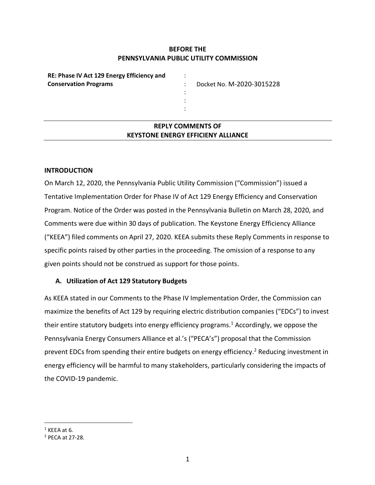## **BEFORE THE PENNSYLVANIA PUBLIC UTILITY COMMISSION**

: : : : :

**RE: Phase IV Act 129 Energy Efficiency and Conservation Programs** 

Docket No. M-2020-3015228

# **REPLY COMMENTS OF KEYSTONE ENERGY EFFICIENY ALLIANCE**

### **INTRODUCTION**

On March 12, 2020, the Pennsylvania Public Utility Commission ("Commission") issued a Tentative Implementation Order for Phase IV of Act 129 Energy Efficiency and Conservation Program. Notice of the Order was posted in the Pennsylvania Bulletin on March 28, 2020, and Comments were due within 30 days of publication. The Keystone Energy Efficiency Alliance ("KEEA") filed comments on April 27, 2020. KEEA submits these Reply Comments in response to specific points raised by other parties in the proceeding. The omission of a response to any given points should not be construed as support for those points.

### **A. Utilization of Act 129 Statutory Budgets**

As KEEA stated in our Comments to the Phase IV Implementation Order, the Commission can maximize the benefits of Act 129 by requiring electric distribution companies ("EDCs") to invest their entire statutory budgets into energy efficiency programs.<sup>1</sup> Accordingly, we oppose the Pennsylvania Energy Consumers Alliance et al.'s ("PECA's") proposal that the Commission prevent EDCs from spending their entire budgets on energy efficiency.<sup>2</sup> Reducing investment in energy efficiency will be harmful to many stakeholders, particularly considering the impacts of the COVID-19 pandemic.

 $1$  KEEA at 6.

<sup>2</sup> PECA at 27-28.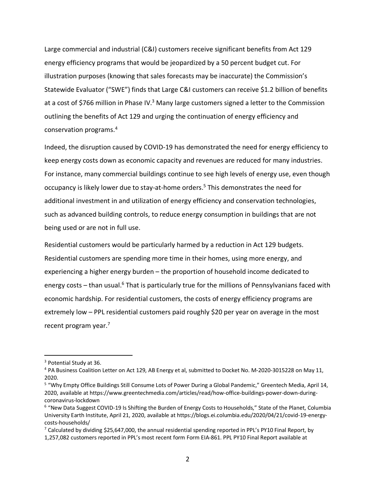Large commercial and industrial (C&I) customers receive significant benefits from Act 129 energy efficiency programs that would be jeopardized by a 50 percent budget cut. For illustration purposes (knowing that sales forecasts may be inaccurate) the Commission's Statewide Evaluator ("SWE") finds that Large C&I customers can receive \$1.2 billion of benefits at a cost of \$766 million in Phase IV.<sup>3</sup> Many large customers signed a letter to the Commission outlining the benefits of Act 129 and urging the continuation of energy efficiency and conservation programs.4

Indeed, the disruption caused by COVID-19 has demonstrated the need for energy efficiency to keep energy costs down as economic capacity and revenues are reduced for many industries. For instance, many commercial buildings continue to see high levels of energy use, even though occupancy is likely lower due to stay-at-home orders.<sup>5</sup> This demonstrates the need for additional investment in and utilization of energy efficiency and conservation technologies, such as advanced building controls, to reduce energy consumption in buildings that are not being used or are not in full use.

Residential customers would be particularly harmed by a reduction in Act 129 budgets. Residential customers are spending more time in their homes, using more energy, and experiencing a higher energy burden – the proportion of household income dedicated to energy costs – than usual.<sup>6</sup> That is particularly true for the millions of Pennsylvanians faced with economic hardship. For residential customers, the costs of energy efficiency programs are extremely low – PPL residential customers paid roughly \$20 per year on average in the most recent program year.7

<sup>&</sup>lt;sup>3</sup> Potential Study at 36.

<sup>4</sup> PA Business Coalition Letter on Act 129, AB Energy et al, submitted to Docket No. M-2020-3015228 on May 11, 2020.

<sup>5</sup> "Why Empty Office Buildings Still Consume Lots of Power During a Global Pandemic," Greentech Media, April 14, 2020, available at https://www.greentechmedia.com/articles/read/how-office-buildings-power-down-duringcoronavirus-lockdown

<sup>&</sup>lt;sup>6</sup> "New Data Suggest COVID-19 Is Shifting the Burden of Energy Costs to Households," State of the Planet, Columbia University Earth Institute, April 21, 2020, available at https://blogs.ei.columbia.edu/2020/04/21/covid-19-energycosts-households/

<sup>&</sup>lt;sup>7</sup> Calculated by dividing \$25,647,000, the annual residential spending reported in PPL's PY10 Final Report, by 1,257,082 customers reported in PPL's most recent form Form EIA-861. PPL PY10 Final Report available at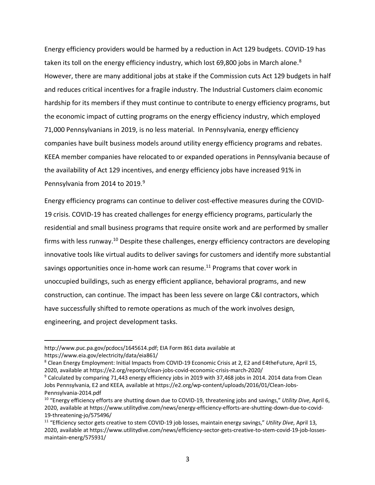Energy efficiency providers would be harmed by a reduction in Act 129 budgets. COVID-19 has taken its toll on the energy efficiency industry, which lost 69,800 jobs in March alone.<sup>8</sup> However, there are many additional jobs at stake if the Commission cuts Act 129 budgets in half and reduces critical incentives for a fragile industry. The Industrial Customers claim economic hardship for its members if they must continue to contribute to energy efficiency programs, but the economic impact of cutting programs on the energy efficiency industry, which employed 71,000 Pennsylvanians in 2019, is no less material. In Pennsylvania, energy efficiency companies have built business models around utility energy efficiency programs and rebates. KEEA member companies have relocated to or expanded operations in Pennsylvania because of the availability of Act 129 incentives, and energy efficiency jobs have increased 91% in Pennsylvania from 2014 to 2019.<sup>9</sup>

Energy efficiency programs can continue to deliver cost-effective measures during the COVID-19 crisis. COVID-19 has created challenges for energy efficiency programs, particularly the residential and small business programs that require onsite work and are performed by smaller firms with less runway.10 Despite these challenges, energy efficiency contractors are developing innovative tools like virtual audits to deliver savings for customers and identify more substantial savings opportunities once in-home work can resume.<sup>11</sup> Programs that cover work in unoccupied buildings, such as energy efficient appliance, behavioral programs, and new construction, can continue. The impact has been less severe on large C&I contractors, which have successfully shifted to remote operations as much of the work involves design, engineering, and project development tasks.

 $\overline{a}$ 

http://www.puc.pa.gov/pcdocs/1645614.pdf; EIA Form 861 data available at https://www.eia.gov/electricity/data/eia861/

<sup>&</sup>lt;sup>8</sup> Clean Energy Employment: Initial Impacts from COVID-19 Economic Crisis at 2, E2 and E4theFuture, April 15, 2020, available at https://e2.org/reports/clean-jobs-covid-economic-crisis-march-2020/

 $9$  Calculated by comparing 71,443 energy efficiency jobs in 2019 with 37,468 jobs in 2014. 2014 data from Clean Jobs Pennsylvania, E2 and KEEA, available at https://e2.org/wp-content/uploads/2016/01/Clean-Jobs-Pennsylvania-2014.pdf

<sup>10</sup> "Energy efficiency efforts are shutting down due to COVID-19, threatening jobs and savings," *Utility Dive*, April 6, 2020, available at https://www.utilitydive.com/news/energy-efficiency-efforts-are-shutting-down-due-to-covid-19-threatening-jo/575496/

<sup>11</sup> "Efficiency sector gets creative to stem COVID-19 job losses, maintain energy savings," *Utility Dive*, April 13, 2020, available at https://www.utilitydive.com/news/efficiency-sector-gets-creative-to-stem-covid-19-job-lossesmaintain-energ/575931/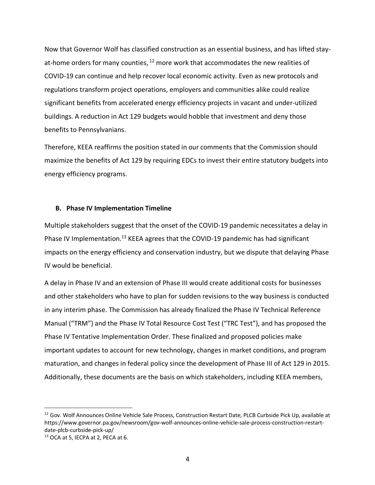Now that Governor Wolf has classified construction as an essential business, and has lifted stayat-home orders for many counties,  $12$  more work that accommodates the new realities of COVID-19 can continue and help recover local economic activity. Even as new protocols and regulations transform project operations, employers and communities alike could realize significant benefits from accelerated energy efficiency projects in vacant and under-utilized buildings. A reduction in Act 129 budgets would hobble that investment and deny those benefits to Pennsylvanians.

Therefore, KEEA reaffirms the position stated in our comments that the Commission should maximize the benefits of Act 129 by requiring EDCs to invest their entire statutory budgets into energy efficiency programs.

#### **B. Phase IV Implementation Timeline**

Multiple stakeholders suggest that the onset of the COVID-19 pandemic necessitates a delay in Phase IV Implementation.<sup>13</sup> KEEA agrees that the COVID-19 pandemic has had significant impacts on the energy efficiency and conservation industry, but we dispute that delaying Phase IV would be beneficial.

A delay in Phase IV and an extension of Phase III would create additional costs for businesses and other stakeholders who have to plan for sudden revisions to the way business is conducted in any interim phase. The Commission has already finalized the Phase IV Technical Reference Manual ("TRM") and the Phase IV Total Resource Cost Test ("TRC Test"), and has proposed the Phase IV Tentative Implementation Order. These finalized and proposed policies make important updates to account for new technology, changes in market conditions, and program maturation, and changes in federal policy since the development of Phase III of Act 129 in 2015. Additionally, these documents are the basis on which stakeholders, including KEEA members,

<sup>&</sup>lt;sup>12</sup> Gov. Wolf Announces Online Vehicle Sale Process, Construction Restart Date, PLCB Curbside Pick Up, available at https://www.governor.pa.gov/newsroom/gov-wolf-announces-online-vehicle-sale-process-construction-restartdate-plcb-curbside-pick-up/

<sup>13</sup> OCA at 5, IECPA at 2, PECA at 6.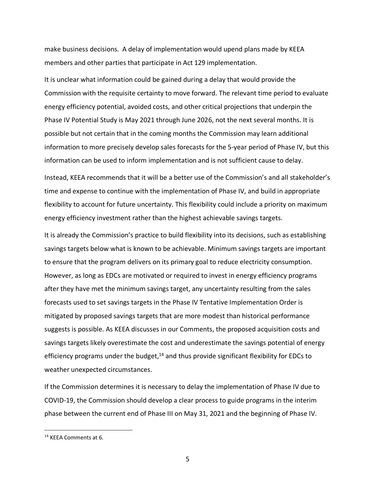make business decisions. A delay of implementation would upend plans made by KEEA members and other parties that participate in Act 129 implementation.

It is unclear what information could be gained during a delay that would provide the Commission with the requisite certainty to move forward. The relevant time period to evaluate energy efficiency potential, avoided costs, and other critical projections that underpin the Phase IV Potential Study is May 2021 through June 2026, not the next several months. It is possible but not certain that in the coming months the Commission may learn additional information to more precisely develop sales forecasts for the 5-year period of Phase IV, but this information can be used to inform implementation and is not sufficient cause to delay.

Instead, KEEA recommends that it will be a better use of the Commission's and all stakeholder's time and expense to continue with the implementation of Phase IV, and build in appropriate flexibility to account for future uncertainty. This flexibility could include a priority on maximum energy efficiency investment rather than the highest achievable savings targets.

It is already the Commission's practice to build flexibility into its decisions, such as establishing savings targets below what is known to be achievable. Minimum savings targets are important to ensure that the program delivers on its primary goal to reduce electricity consumption. However, as long as EDCs are motivated or required to invest in energy efficiency programs after they have met the minimum savings target, any uncertainty resulting from the sales forecasts used to set savings targets in the Phase IV Tentative Implementation Order is mitigated by proposed savings targets that are more modest than historical performance suggests is possible. As KEEA discusses in our Comments, the proposed acquisition costs and savings targets likely overestimate the cost and underestimate the savings potential of energy efficiency programs under the budget, $14$  and thus provide significant flexibility for EDCs to weather unexpected circumstances.

If the Commission determines it is necessary to delay the implementation of Phase IV due to COVID-19, the Commission should develop a clear process to guide programs in the interim phase between the current end of Phase III on May 31, 2021 and the beginning of Phase IV.

 <sup>14</sup> KEEA Comments at 6.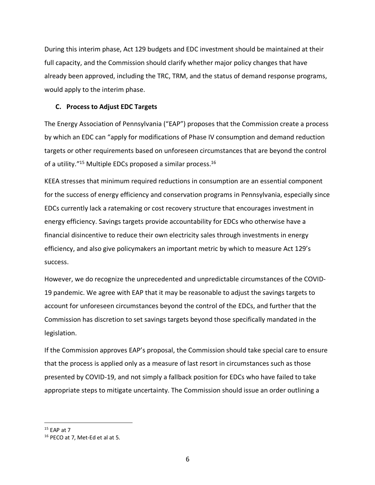During this interim phase, Act 129 budgets and EDC investment should be maintained at their full capacity, and the Commission should clarify whether major policy changes that have already been approved, including the TRC, TRM, and the status of demand response programs, would apply to the interim phase.

### **C. Process to Adjust EDC Targets**

The Energy Association of Pennsylvania ("EAP") proposes that the Commission create a process by which an EDC can "apply for modifications of Phase IV consumption and demand reduction targets or other requirements based on unforeseen circumstances that are beyond the control of a utility."<sup>15</sup> Multiple EDCs proposed a similar process.<sup>16</sup>

KEEA stresses that minimum required reductions in consumption are an essential component for the success of energy efficiency and conservation programs in Pennsylvania, especially since EDCs currently lack a ratemaking or cost recovery structure that encourages investment in energy efficiency. Savings targets provide accountability for EDCs who otherwise have a financial disincentive to reduce their own electricity sales through investments in energy efficiency, and also give policymakers an important metric by which to measure Act 129's success.

However, we do recognize the unprecedented and unpredictable circumstances of the COVID-19 pandemic. We agree with EAP that it may be reasonable to adjust the savings targets to account for unforeseen circumstances beyond the control of the EDCs, and further that the Commission has discretion to set savings targets beyond those specifically mandated in the legislation.

If the Commission approves EAP's proposal, the Commission should take special care to ensure that the process is applied only as a measure of last resort in circumstances such as those presented by COVID-19, and not simply a fallback position for EDCs who have failed to take appropriate steps to mitigate uncertainty. The Commission should issue an order outlining a

 $15$  FAP at 7

<sup>16</sup> PECO at 7, Met-Ed et al at 5.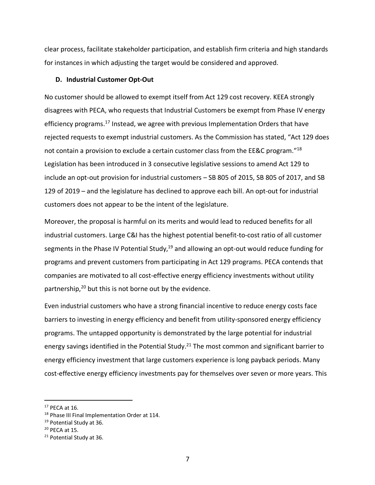clear process, facilitate stakeholder participation, and establish firm criteria and high standards for instances in which adjusting the target would be considered and approved.

#### **D. Industrial Customer Opt-Out**

No customer should be allowed to exempt itself from Act 129 cost recovery. KEEA strongly disagrees with PECA, who requests that Industrial Customers be exempt from Phase IV energy efficiency programs.<sup>17</sup> Instead, we agree with previous Implementation Orders that have rejected requests to exempt industrial customers. As the Commission has stated, "Act 129 does not contain a provision to exclude a certain customer class from the EE&C program."18 Legislation has been introduced in 3 consecutive legislative sessions to amend Act 129 to include an opt-out provision for industrial customers – SB 805 of 2015, SB 805 of 2017, and SB 129 of 2019 – and the legislature has declined to approve each bill. An opt-out for industrial customers does not appear to be the intent of the legislature.

Moreover, the proposal is harmful on its merits and would lead to reduced benefits for all industrial customers. Large C&I has the highest potential benefit-to-cost ratio of all customer segments in the Phase IV Potential Study, $19$  and allowing an opt-out would reduce funding for programs and prevent customers from participating in Act 129 programs. PECA contends that companies are motivated to all cost-effective energy efficiency investments without utility partnership, $20$  but this is not borne out by the evidence.

Even industrial customers who have a strong financial incentive to reduce energy costs face barriers to investing in energy efficiency and benefit from utility-sponsored energy efficiency programs. The untapped opportunity is demonstrated by the large potential for industrial energy savings identified in the Potential Study.<sup>21</sup> The most common and significant barrier to energy efficiency investment that large customers experience is long payback periods. Many cost-effective energy efficiency investments pay for themselves over seven or more years. This

 $17$  PECA at 16.

<sup>&</sup>lt;sup>18</sup> Phase III Final Implementation Order at 114.

<sup>&</sup>lt;sup>19</sup> Potential Study at 36.

 $20$  PECA at 15.

<sup>&</sup>lt;sup>21</sup> Potential Study at 36.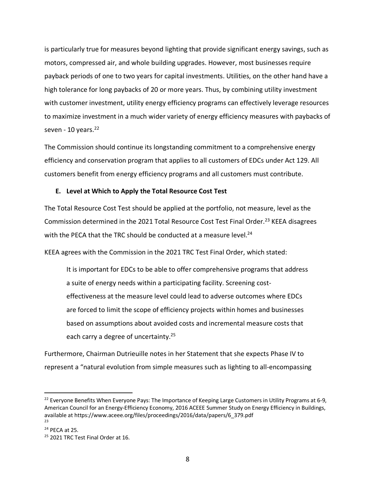is particularly true for measures beyond lighting that provide significant energy savings, such as motors, compressed air, and whole building upgrades. However, most businesses require payback periods of one to two years for capital investments. Utilities, on the other hand have a high tolerance for long paybacks of 20 or more years. Thus, by combining utility investment with customer investment, utility energy efficiency programs can effectively leverage resources to maximize investment in a much wider variety of energy efficiency measures with paybacks of seven -  $10$  years. $22$ 

The Commission should continue its longstanding commitment to a comprehensive energy efficiency and conservation program that applies to all customers of EDCs under Act 129. All customers benefit from energy efficiency programs and all customers must contribute.

### **E. Level at Which to Apply the Total Resource Cost Test**

The Total Resource Cost Test should be applied at the portfolio, not measure, level as the Commission determined in the 2021 Total Resource Cost Test Final Order.<sup>23</sup> KEEA disagrees with the PECA that the TRC should be conducted at a measure level.<sup>24</sup>

KEEA agrees with the Commission in the 2021 TRC Test Final Order, which stated:

It is important for EDCs to be able to offer comprehensive programs that address a suite of energy needs within a participating facility. Screening costeffectiveness at the measure level could lead to adverse outcomes where EDCs are forced to limit the scope of efficiency projects within homes and businesses based on assumptions about avoided costs and incremental measure costs that each carry a degree of uncertainty.<sup>25</sup>

Furthermore, Chairman Dutrieuille notes in her Statement that she expects Phase IV to represent a "natural evolution from simple measures such as lighting to all-encompassing

<sup>&</sup>lt;sup>22</sup> Everyone Benefits When Everyone Pays: The Importance of Keeping Large Customers in Utility Programs at 6-9, American Council for an Energy-Efficiency Economy, 2016 ACEEE Summer Study on Energy Efficiency in Buildings, available at https://www.aceee.org/files/proceedings/2016/data/papers/6\_379.pdf 23

 $24$  PECA at 25.

<sup>&</sup>lt;sup>25</sup> 2021 TRC Test Final Order at 16.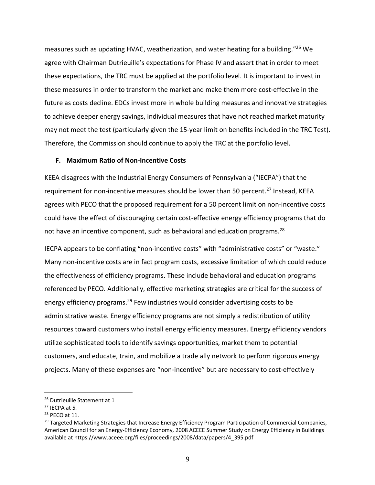measures such as updating HVAC, weatherization, and water heating for a building."26 We agree with Chairman Dutrieuille's expectations for Phase IV and assert that in order to meet these expectations, the TRC must be applied at the portfolio level. It is important to invest in these measures in order to transform the market and make them more cost-effective in the future as costs decline. EDCs invest more in whole building measures and innovative strategies to achieve deeper energy savings, individual measures that have not reached market maturity may not meet the test (particularly given the 15-year limit on benefits included in the TRC Test). Therefore, the Commission should continue to apply the TRC at the portfolio level.

### **F. Maximum Ratio of Non-Incentive Costs**

KEEA disagrees with the Industrial Energy Consumers of Pennsylvania ("IECPA") that the requirement for non-incentive measures should be lower than 50 percent.<sup>27</sup> Instead, KEEA agrees with PECO that the proposed requirement for a 50 percent limit on non-incentive costs could have the effect of discouraging certain cost-effective energy efficiency programs that do not have an incentive component, such as behavioral and education programs.<sup>28</sup>

IECPA appears to be conflating "non-incentive costs" with "administrative costs" or "waste." Many non-incentive costs are in fact program costs, excessive limitation of which could reduce the effectiveness of efficiency programs. These include behavioral and education programs referenced by PECO. Additionally, effective marketing strategies are critical for the success of energy efficiency programs.<sup>29</sup> Few industries would consider advertising costs to be administrative waste. Energy efficiency programs are not simply a redistribution of utility resources toward customers who install energy efficiency measures. Energy efficiency vendors utilize sophisticated tools to identify savings opportunities, market them to potential customers, and educate, train, and mobilize a trade ally network to perform rigorous energy projects. Many of these expenses are "non-incentive" but are necessary to cost-effectively

<sup>&</sup>lt;sup>26</sup> Dutrieuille Statement at 1

 $27$  IECPA at 5.

<sup>28</sup> PECO at 11.

<sup>&</sup>lt;sup>29</sup> Targeted Marketing Strategies that Increase Energy Efficiency Program Participation of Commercial Companies, American Council for an Energy-Efficiency Economy, 2008 ACEEE Summer Study on Energy Efficiency in Buildings available at https://www.aceee.org/files/proceedings/2008/data/papers/4\_395.pdf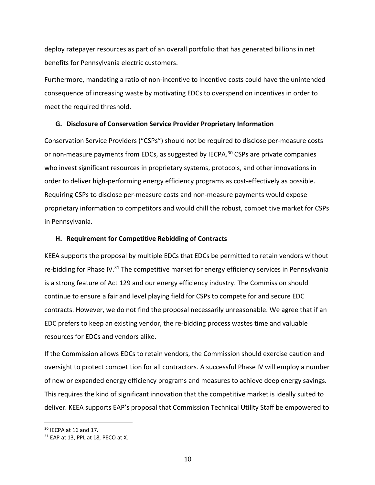deploy ratepayer resources as part of an overall portfolio that has generated billions in net benefits for Pennsylvania electric customers.

Furthermore, mandating a ratio of non-incentive to incentive costs could have the unintended consequence of increasing waste by motivating EDCs to overspend on incentives in order to meet the required threshold.

#### **G. Disclosure of Conservation Service Provider Proprietary Information**

Conservation Service Providers ("CSPs") should not be required to disclose per-measure costs or non-measure payments from EDCs, as suggested by IECPA.<sup>30</sup> CSPs are private companies who invest significant resources in proprietary systems, protocols, and other innovations in order to deliver high-performing energy efficiency programs as cost-effectively as possible. Requiring CSPs to disclose per-measure costs and non-measure payments would expose proprietary information to competitors and would chill the robust, competitive market for CSPs in Pennsylvania.

#### **H. Requirement for Competitive Rebidding of Contracts**

KEEA supports the proposal by multiple EDCs that EDCs be permitted to retain vendors without re-bidding for Phase IV. $31$  The competitive market for energy efficiency services in Pennsylvania is a strong feature of Act 129 and our energy efficiency industry. The Commission should continue to ensure a fair and level playing field for CSPs to compete for and secure EDC contracts. However, we do not find the proposal necessarily unreasonable. We agree that if an EDC prefers to keep an existing vendor, the re-bidding process wastes time and valuable resources for EDCs and vendors alike.

If the Commission allows EDCs to retain vendors, the Commission should exercise caution and oversight to protect competition for all contractors. A successful Phase IV will employ a number of new or expanded energy efficiency programs and measures to achieve deep energy savings. This requires the kind of significant innovation that the competitive market is ideally suited to deliver. KEEA supports EAP's proposal that Commission Technical Utility Staff be empowered to

 $30$  IECPA at 16 and 17.

 $31$  EAP at 13, PPL at 18, PECO at X.